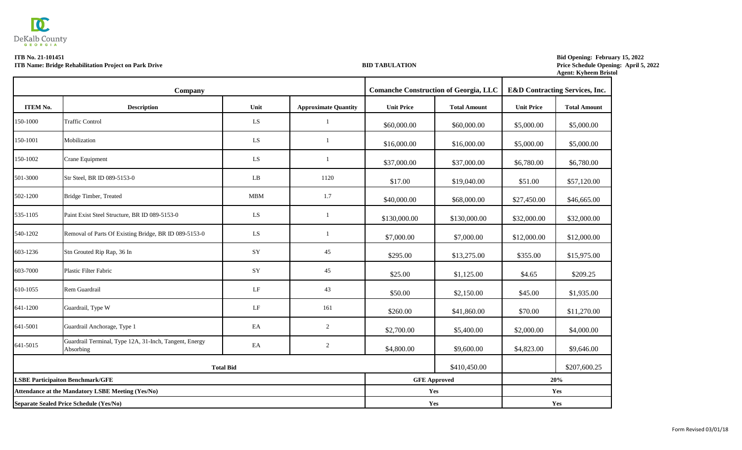## **Agent: Kyheem Bristol Bid Opening: February 15, 2022 Price Schedule Opening: April 5, 2022**

|                 | <b>Company</b>                                                      |                  |                             |                   | <b>Comanche Construction of Georgia, LLC</b> |                   | <b>E&amp;D Contracting Services, Inc.</b> |
|-----------------|---------------------------------------------------------------------|------------------|-----------------------------|-------------------|----------------------------------------------|-------------------|-------------------------------------------|
| <b>ITEM No.</b> | <b>Description</b>                                                  | Unit             | <b>Approximate Quantity</b> | <b>Unit Price</b> | <b>Total Amount</b>                          | <b>Unit Price</b> | <b>Total Amount</b>                       |
| 150-1000        | <b>Traffic Control</b>                                              | LS               |                             | \$60,000.00       | \$60,000.00                                  | \$5,000.00        | \$5,000.00                                |
| 150-1001        | Mobilization                                                        | LS               |                             | \$16,000.00       | \$16,000.00                                  | \$5,000.00        | \$5,000.00                                |
| 150-1002        | <b>Crane Equipment</b>                                              | LS               |                             | \$37,000.00       | \$37,000.00                                  | \$6,780.00        | \$6,780.00                                |
| 501-3000        | Str Steel, BR ID 089-5153-0                                         | LB               | 1120                        | \$17.00           | \$19,040.00                                  | \$51.00           | \$57,120.00                               |
| 502-1200        | Bridge Timber, Treated                                              | <b>MBM</b>       | 1.7                         | \$40,000.00       | \$68,000.00                                  | \$27,450.00       | \$46,665.00                               |
| 535-1105        | Paint Exist Steel Structure, BR ID 089-5153-0                       | LS               |                             | \$130,000.00      | \$130,000.00                                 | \$32,000.00       | \$32,000.00                               |
| 540-1202        | Removal of Parts Of Existing Bridge, BR ID 089-5153-0               | LS               |                             | \$7,000.00        | \$7,000.00                                   | \$12,000.00       | \$12,000.00                               |
| 603-1236        | Stn Grouted Rip Rap, 36 In                                          | SY               | 45                          | \$295.00          | \$13,275.00                                  | \$355.00          | \$15,975.00                               |
| 603-7000        | <b>Plastic Filter Fabric</b>                                        | SY               | 45                          | \$25.00           | \$1,125.00                                   | \$4.65            | \$209.25                                  |
| 610-1055        | Rem Guardrail                                                       | LF               | 43                          | \$50.00           | \$2,150.00                                   | \$45.00           | \$1,935.00                                |
| 641-1200        | Guardrail, Type W                                                   | LF               | 161                         | \$260.00          | \$41,860.00                                  | \$70.00           | \$11,270.00                               |
| 641-5001        | Guardrail Anchorage, Type 1                                         | EA               | $\overline{2}$              | \$2,700.00        | \$5,400.00                                   | \$2,000.00        | \$4,000.00                                |
| 641-5015        | Guardrail Terminal, Type 12A, 31-Inch, Tangent, Energy<br>Absorbing | EA               | $\overline{2}$              | \$4,800.00        | \$9,600.00                                   | \$4,823.00        | \$9,646.00                                |
|                 |                                                                     | <b>Total Bid</b> |                             |                   | \$410,450.00                                 |                   | \$207,600.25                              |
|                 | <b>LSBE Participaiton Benchmark/GFE</b>                             |                  |                             |                   | <b>GFE Approved</b>                          |                   | 20%                                       |
|                 | <b>Attendance at the Mandatory LSBE Meeting (Yes/No)</b>            |                  |                             | Yes               |                                              |                   | Yes                                       |
|                 | Separate Sealed Price Schedule (Yes/No)                             |                  |                             | Yes               |                                              |                   | Yes                                       |



## **ITB No. 21-101451 ITB Name: Bridge Rehabilitation Project on Park Drive BID TABULATION**